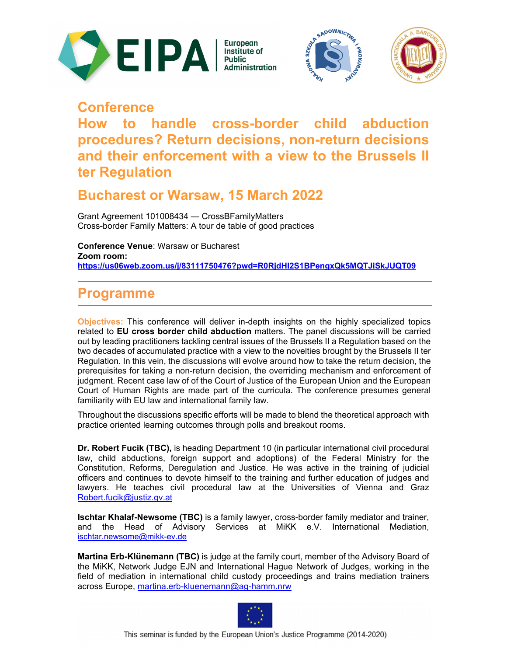





# **Conference**

**How to handle cross-border child abduction procedures? Return decisions, non-return decisions and their enforcement with a view to the Brussels II ter Regulation**

### **Bucharest or Warsaw, 15 March 2022**

Grant Agreement 101008434 — CrossBFamilyMatters Cross-border Family Matters: A tour de table of good practices

**Conference Venue**: Warsaw or Bucharest **Zoom room: https://us06web.zoom.us/j/83111750476?pwd=R0RjdHI2S1BPengxQk5MQTJiSkJUQT09**

## **Programme**

**Objectives:** This conference will deliver in-depth insights on the highly specialized topics related to **EU cross border child abduction** matters. The panel discussions will be carried out by leading practitioners tackling central issues of the Brussels II a Regulation based on the two decades of accumulated practice with a view to the novelties brought by the Brussels II ter Regulation. In this vein, the discussions will evolve around how to take the return decision, the prerequisites for taking a non-return decision, the overriding mechanism and enforcement of judgment. Recent case law of of the Court of Justice of the European Union and the European Court of Human Rights are made part of the curricula. The conference presumes general familiarity with EU law and international family law.

Throughout the discussions specific efforts will be made to blend the theoretical approach with practice oriented learning outcomes through polls and breakout rooms.

**Dr. Robert Fucik (TBC),** is heading Department 10 (in particular international civil procedural law, child abductions, foreign support and adoptions) of the Federal Ministry for the Constitution, Reforms, Deregulation and Justice. He was active in the training of judicial officers and continues to devote himself to the training and further education of judges and lawyers. He teaches civil procedural law at the Universities of Vienna and Graz Robert.fucik@justiz.gv.at

**Ischtar Khalaf-Newsome (TBC)** is a family lawyer, cross-border family mediator and trainer, and the Head of Advisory Services at MiKK e.V. International Mediation, ischtar.newsome@mikk-ev.de

**Martina Erb-Klünemann (TBC)** is judge at the family court, member of the Advisory Board of the MiKK, Network Judge EJN and International Hague Network of Judges, working in the field of mediation in international child custody proceedings and trains mediation trainers across Europe, martina.erb-kluenemann@ag-hamm.nrw

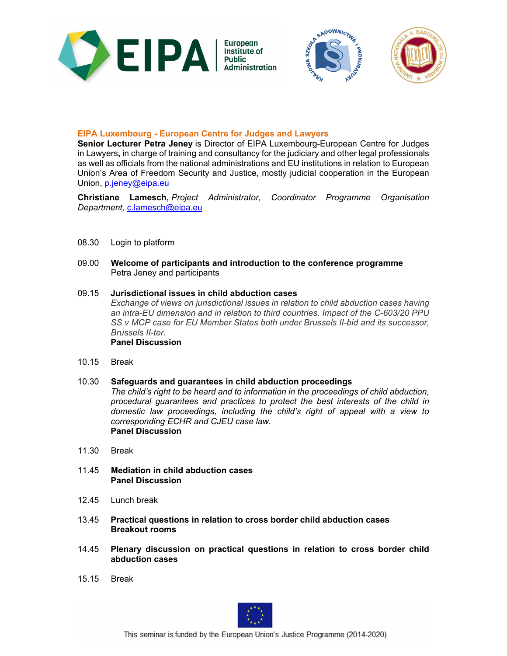



### **EIPA Luxembourg - European Centre for Judges and Lawyers**

**Senior Lecturer Petra Jeney** is Director of EIPA Luxembourg-European Centre for Judges in Lawyers**,** in charge of training and consultancy for the judiciary and other legal professionals as well as officials from the national administrations and EU institutions in relation to European Union's Area of Freedom Security and Justice, mostly judicial cooperation in the European Union, p.jeney@eipa.eu

**Christiane Lamesch,** *Project Administrator, Coordinator Programme Organisation Department,* c.lamesch@eipa.eu

- 08.30 Login to platform
- 09.00 **Welcome of participants and introduction to the conference programme** Petra Jeney and participants
- 09.15 **Jurisdictional issues in child abduction cases**   *Exchange of views on jurisdictional issues in relation to child abduction cases having an intra-EU dimension and in relation to third countries. Impact of the C-603/20 PPU SS v MCP case for EU Member States both under Brussels II-bid and its successor, Brussels II-ter.*  **Panel Discussion**
- 10.15 Break
- 10.30 **Safeguards and guarantees in child abduction proceedings**   *The child's right to be heard and to information in the proceedings of child abduction, procedural guarantees and practices to protect the best interests of the child in domestic law proceedings, including the child's right of appeal with a view to corresponding ECHR and CJEU case law.* **Panel Discussion**
- 11.30 Break
- 11.45 **Mediation in child abduction cases Panel Discussion**
- 12.45 Lunch break
- 13.45 **Practical questions in relation to cross border child abduction cases Breakout rooms**
- 14.45 **Plenary discussion on practical questions in relation to cross border child abduction cases**
- 15.15 Break